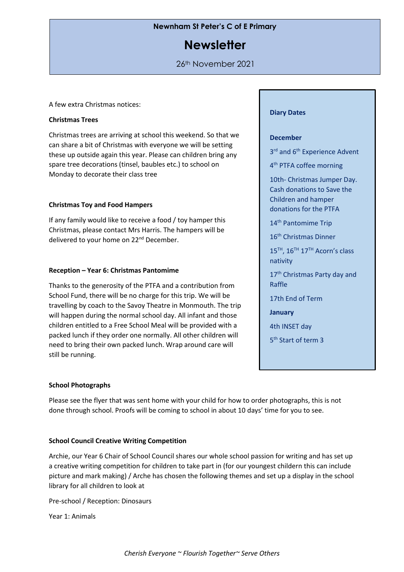# **Newnham St Peter's C of E Primary**

# **Newsletter**

# 26th November 2021

A few extra Christmas notices:

## **Christmas Trees**

Christmas trees are arriving at school this weekend. So that we can share a bit of Christmas with everyone we will be setting these up outside again this year. Please can children bring any spare tree decorations (tinsel, baubles etc.) to school on Monday to decorate their class tree

# **Christmas Toy and Food Hampers**

If any family would like to receive a food / toy hamper this Christmas, please contact Mrs Harris. The hampers will be delivered to your home on 22<sup>nd</sup> December.

# **Reception – Year 6: Christmas Pantomime**

Thanks to the generosity of the PTFA and a contribution from School Fund, there will be no charge for this trip. We will be travelling by coach to the Savoy Theatre in Monmouth. The trip will happen during the normal school day. All infant and those children entitled to a Free School Meal will be provided with a packed lunch if they order one normally. All other children will need to bring their own packed lunch. Wrap around care will still be running.

#### **Diary Dates**

#### **December**

3<sup>rd</sup> and 6<sup>th</sup> Experience Advent

4<sup>th</sup> PTFA coffee morning

10th- Christmas Jumper Day. Cash donations to Save the Children and hamper donations for the PTFA

14<sup>th</sup> Pantomime Trip

16<sup>th</sup> Christmas Dinner

15<sup>TH</sup>, 16<sup>TH</sup> 17<sup>TH</sup> Acorn's class nativity

17<sup>th</sup> Christmas Party day and Raffle

17th End of Term

**January**

4th INSET day

5<sup>th</sup> Start of term 3

## **School Photographs**

Please see the flyer that was sent home with your child for how to order photographs, this is not done through school. Proofs will be coming to school in about 10 days' time for you to see.

## **School Council Creative Writing Competition**

Archie, our Year 6 Chair of School Council shares our whole school passion for writing and has set up a creative writing competition for children to take part in (for our youngest childern this can include picture and mark making) / Arche has chosen the following themes and set up a display in the school library for all children to look at

Pre-school / Reception: Dinosaurs

Year 1: Animals